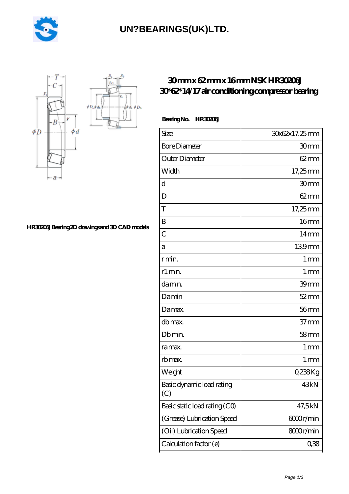

# **[UN?BEARINGS\(UK\)LTD.](https://m.oxmoh.com)**



#### **[HR30206J Bearing 2D drawings and 3D CAD models](https://m.oxmoh.com/pic-576046.html)**

### **[30 mm x 62 mm x 16 mm NSK HR30206J](https://m.oxmoh.com/af-576046-nsk-hr30206j-30-62-14-17-air-conditioning-compressor-bearing.html) [30\\*62\\*14/17 air conditioning compressor bearing](https://m.oxmoh.com/af-576046-nsk-hr30206j-30-62-14-17-air-conditioning-compressor-bearing.html)**

#### **Bearing No. HR30206J**

| Size                             | 30x62x17.25mm     |
|----------------------------------|-------------------|
| <b>Bore Diameter</b>             | 30mm              |
| Outer Diameter                   | $62 \text{mm}$    |
| Width                            | 17,25mm           |
| d                                | 30 <sub>mm</sub>  |
| D                                | $62 \text{mm}$    |
| T                                | 17,25mm           |
| B                                | 16 <sub>mm</sub>  |
| $\overline{C}$                   | $14 \text{mm}$    |
| а                                | 139mm             |
| r min.                           | 1 <sub>mm</sub>   |
| r1 min.                          | 1 <sub>mm</sub>   |
| da min.                          | 39mm              |
| Damin                            | $52$ mm           |
| Damax.                           | $56$ mm           |
| db max.                          | 37 <sub>mm</sub>  |
| Db min.                          | 58 <sub>mm</sub>  |
| ra max.                          | 1 mm              |
| rb max.                          | $1 \,\mathrm{mm}$ |
| Weight                           | 0,238Kg           |
| Basic dynamic load rating<br>(C) | 43 <sub>kN</sub>  |
| Basic static load rating (CO)    | 47,5kN            |
| (Grease) Lubrication Speed       | 6000r/min         |
| (Oil) Lubrication Speed          | 8000r/min         |
| Calculation factor (e)           | 0,38              |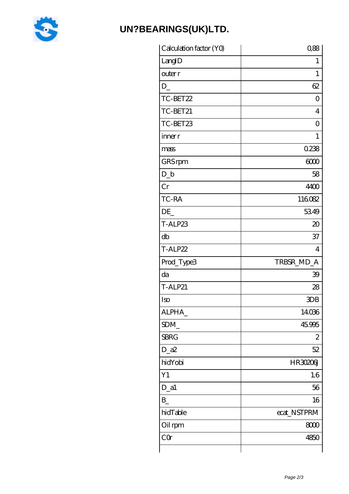

## UN?BEARINGS(UK)LTD.

| Calculation factor (YO) | 0,88            |
|-------------------------|-----------------|
| LangID                  | 1               |
| outer r                 | 1               |
| $D_{-}$                 | 62              |
| TC-BET22                | $\overline{0}$  |
| TC-BET21                | 4               |
| TC-BET23                | Ο               |
| inner r                 | 1               |
| mass                    | 0.238           |
| GRS rpm                 | 6000            |
| $D_b$                   | 58              |
| Cr                      | 4400            |
| TC-RA                   | 116082          |
| DE                      | 5349            |
| T-ALP23                 | $20\,$          |
| db                      | 37              |
| T-ALP22                 | 4               |
| Prod_Type3              | TRBSR_MD_A      |
| da                      | 39              |
| <b>T-ALP21</b>          | 28              |
| Iso                     | 3D <sub>B</sub> |
| ALPHA_                  | 14036           |
| SDM_                    | 45.995          |
| <b>SBRG</b>             | $\mathbf{z}$    |
| $D_2$ a $2$             | 52              |
| hidYobi                 | HR30206J        |
| Y1                      | 1.6             |
| $D_a1$                  | 56              |
| $B_{-}$                 | 16              |
| hidTable                | ecat_NSTPRM     |
| Oil rpm                 | 8000            |
| CQ                      | 4850            |
|                         |                 |